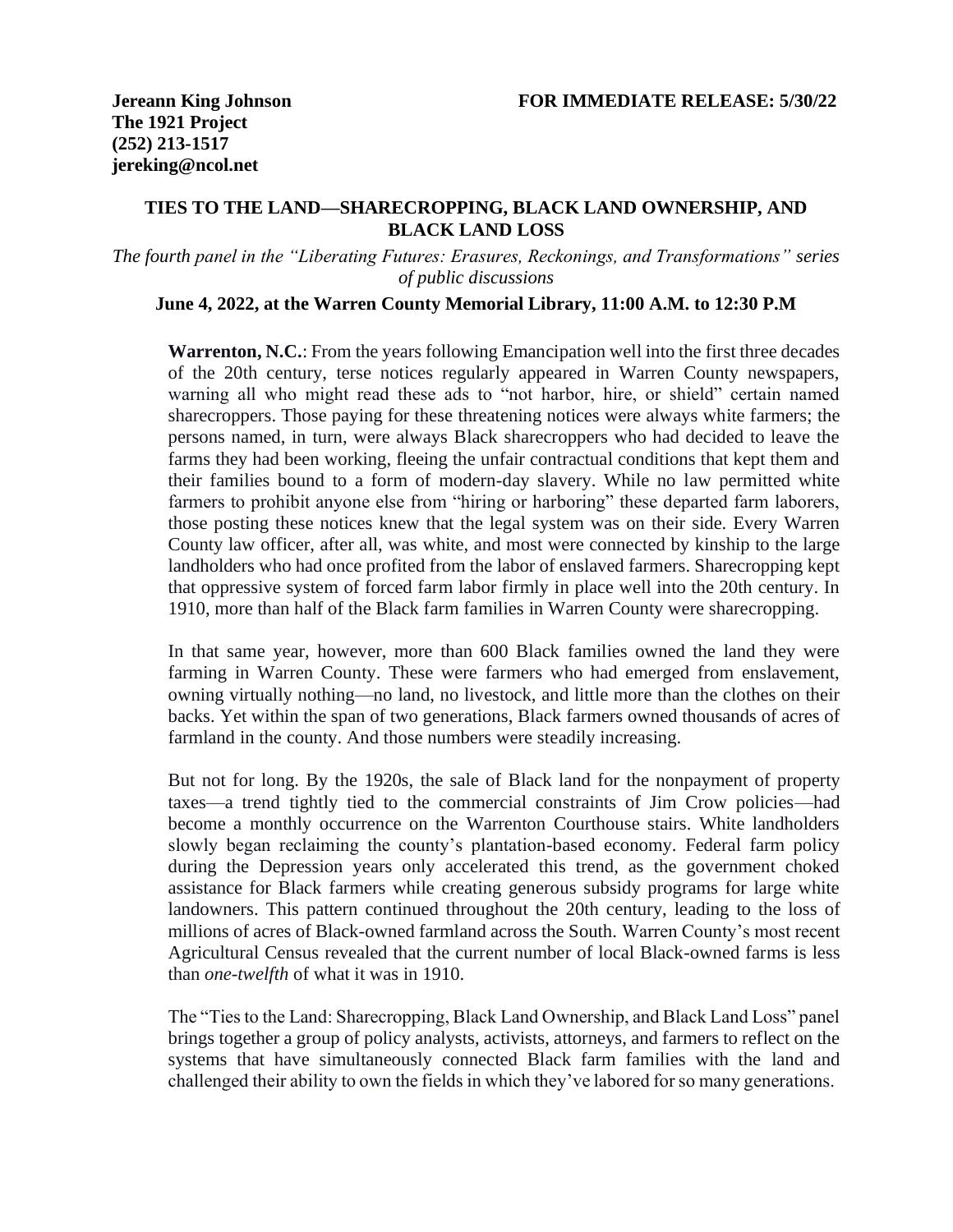## **TIES TO THE LAND—SHARECROPPING, BLACK LAND OWNERSHIP, AND BLACK LAND LOSS**

*The fourth panel in the "Liberating Futures: Erasures, Reckonings, and Transformations" series of public discussions*

## **June 4, 2022, at the Warren County Memorial Library, 11:00 A.M. to 12:30 P.M**

**Warrenton, N.C.**: From the years following Emancipation well into the first three decades of the 20th century, terse notices regularly appeared in Warren County newspapers, warning all who might read these ads to "not harbor, hire, or shield" certain named sharecroppers. Those paying for these threatening notices were always white farmers; the persons named, in turn, were always Black sharecroppers who had decided to leave the farms they had been working, fleeing the unfair contractual conditions that kept them and their families bound to a form of modern-day slavery. While no law permitted white farmers to prohibit anyone else from "hiring or harboring" these departed farm laborers, those posting these notices knew that the legal system was on their side. Every Warren County law officer, after all, was white, and most were connected by kinship to the large landholders who had once profited from the labor of enslaved farmers. Sharecropping kept that oppressive system of forced farm labor firmly in place well into the 20th century. In 1910, more than half of the Black farm families in Warren County were sharecropping.

In that same year, however, more than 600 Black families owned the land they were farming in Warren County. These were farmers who had emerged from enslavement, owning virtually nothing—no land, no livestock, and little more than the clothes on their backs. Yet within the span of two generations, Black farmers owned thousands of acres of farmland in the county. And those numbers were steadily increasing.

But not for long. By the 1920s, the sale of Black land for the nonpayment of property taxes—a trend tightly tied to the commercial constraints of Jim Crow policies—had become a monthly occurrence on the Warrenton Courthouse stairs. White landholders slowly began reclaiming the county's plantation-based economy. Federal farm policy during the Depression years only accelerated this trend, as the government choked assistance for Black farmers while creating generous subsidy programs for large white landowners. This pattern continued throughout the 20th century, leading to the loss of millions of acres of Black-owned farmland across the South. Warren County's most recent Agricultural Census revealed that the current number of local Black-owned farms is less than *one-twelfth* of what it was in 1910.

The "Ties to the Land: Sharecropping, Black Land Ownership, and Black Land Loss" panel brings together a group of policy analysts, activists, attorneys, and farmers to reflect on the systems that have simultaneously connected Black farm families with the land and challenged their ability to own the fields in which they've labored for so many generations.